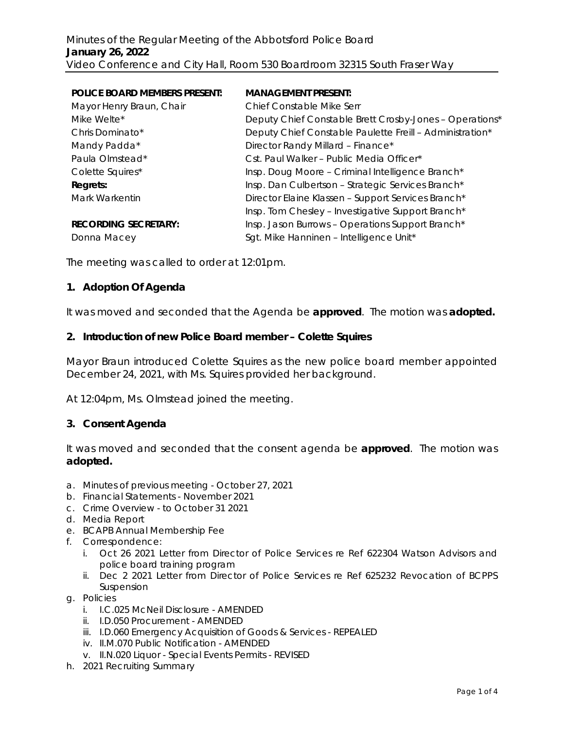| <b>POLICE BOARD MEMBERS PRESENT:</b> | <b>MANAGEMENT PRESENT:</b>                               |
|--------------------------------------|----------------------------------------------------------|
| Mayor Henry Braun, Chair             | Chief Constable Mike Serr                                |
| Mike Welte*                          | Deputy Chief Constable Brett Crosby-Jones - Operations*  |
| Chris Dominato*                      | Deputy Chief Constable Paulette Freill - Administration* |
| Mandy Padda*                         | Director Randy Millard - Finance*                        |
| Paula Olmstead*                      | Cst. Paul Walker – Public Media Officer*                 |
| Colette Squires*                     | Insp. Doug Moore - Criminal Intelligence Branch*         |
| Regrets:                             | Insp. Dan Culbertson - Strategic Services Branch*        |
| Mark Warkentin                       | Director Elaine Klassen - Support Services Branch*       |
|                                      | Insp. Tom Chesley - Investigative Support Branch*        |
| <b>RECORDING SECRETARY:</b>          | Insp. Jason Burrows - Operations Support Branch*         |
| Donna Macey                          | Sgt. Mike Hanninen - Intelligence Unit*                  |

The meeting was called to order at 12:01pm.

### **1. Adoption Of Agenda**

It was moved and seconded that the Agenda be **approved**. The motion was **adopted.**

#### **2. Introduction of new Police Board member – Colette Squires**

Mayor Braun introduced Colette Squires as the new police board member appointed December 24, 2021, with Ms. Squires provided her background.

*At 12:04pm, Ms. Olmstead joined the meeting.* 

#### **3. Consent Agenda**

It was moved and seconded that the consent agenda be **approved**.The motion was **adopted.**

- a. Minutes of previous meeting October 27, 2021
- b. Financial Statements November 2021
- c. Crime Overview to October 31 2021
- d. Media Report
- e. BCAPB Annual Membership Fee
- f. Correspondence:
	- i. Oct 26 2021 Letter from Director of Police Services re Ref 622304 Watson Advisors and police board training program
	- ii. Dec 2 2021 Letter from Director of Police Services re Ref 625232 Revocation of BCPPS Suspension
- g. Policies
	- i. I.C.025 McNeil Disclosure AMENDED
	- ii. I.D.050 Procurement AMENDED
	- iii. I.D.060 Emergency Acquisition of Goods & Services REPEALED
	- iv. II.M.070 Public Notification AMENDED
	- v. II.N.020 Liquor Special Events Permits REVISED
- h. 2021 Recruiting Summary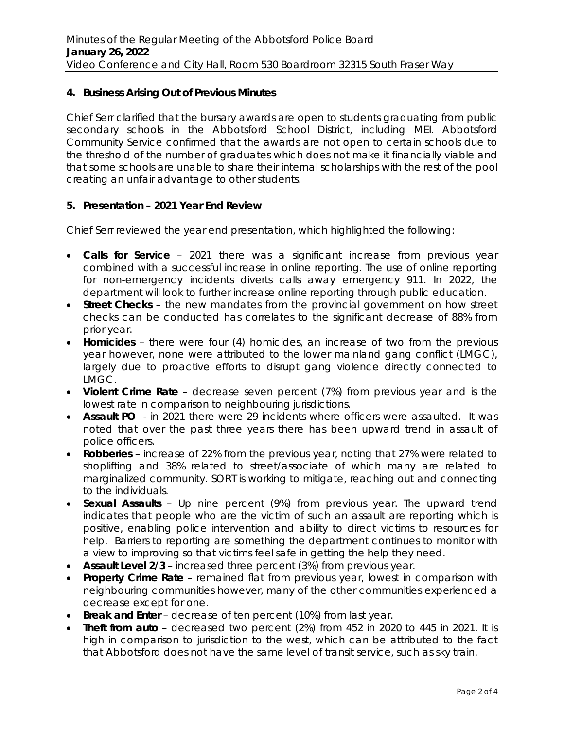## **4. Business Arising Out of Previous Minutes**

Chief Serr clarified that the bursary awards are open to students graduating from public secondary schools in the Abbotsford School District, including MEI. Abbotsford Community Service confirmed that the awards are not open to certain schools due to the threshold of the number of graduates which does not make it financially viable and that some schools are unable to share their internal scholarships with the rest of the pool creating an unfair advantage to other students.

### **5. Presentation – 2021 Year End Review**

Chief Serr reviewed the year end presentation, which highlighted the following:

- **Calls for Service** 2021 there was a significant increase from previous year combined with a successful increase in online reporting. The use of online reporting for non-emergency incidents diverts calls away emergency 911. In 2022, the department will look to further increase online reporting through public education.
- **Street Checks** the new mandates from the provincial government on how street checks can be conducted has correlates to the significant decrease of 88% from prior year.
- **Homicides** there were four (4) homicides, an increase of two from the previous year however, none were attributed to the lower mainland gang conflict (LMGC), largely due to proactive efforts to disrupt gang violence directly connected to LMGC.
- **Violent Crime Rate** decrease seven percent (7%) from previous year and is the lowest rate in comparison to neighbouring jurisdictions.
- **Assault PO**  in 2021 there were 29 incidents where officers were assaulted. It was noted that over the past three years there has been upward trend in assault of police officers.
- **Robberies** increase of 22% from the previous year, noting that 27% were related to shoplifting and 38% related to street/associate of which many are related to marginalized community. SORT is working to mitigate, reaching out and connecting to the individuals.
- **Sexual Assaults** Up nine percent (9%) from previous year. The upward trend indicates that people who are the victim of such an assault are reporting which is positive, enabling police intervention and ability to direct victims to resources for help. Barriers to reporting are something the department continues to monitor with a view to improving so that victims feel safe in getting the help they need.
- **Assault Level 2/3**  increased three percent (3%) from previous year.
- **Property Crime Rate**  remained flat from previous year, lowest in comparison with neighbouring communities however, many of the other communities experienced a decrease except for one.
- **Break and Enter** decrease of ten percent (10%) from last year.
- **Theft from auto**  decreased two percent (2%) from 452 in 2020 to 445 in 2021. It is high in comparison to jurisdiction to the west, which can be attributed to the fact that Abbotsford does not have the same level of transit service, such as sky train.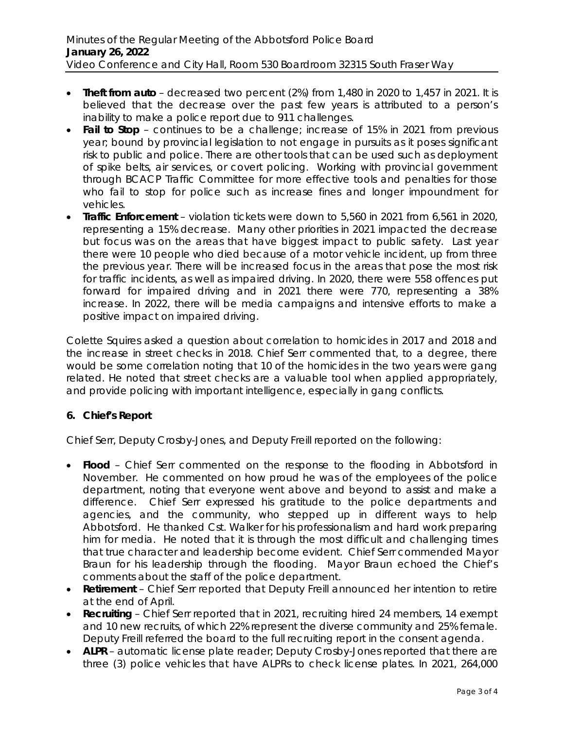- **Theft from auto** decreased two percent (2%) from 1,480 in 2020 to 1,457 in 2021. It is believed that the decrease over the past few years is attributed to a person's inability to make a police report due to 911 challenges.
- **Fail to Stop** continues to be a challenge; increase of 15% in 2021 from previous year; bound by provincial legislation to not engage in pursuits as it poses significant risk to public and police. There are other tools that can be used such as deployment of spike belts, air services, or covert policing. Working with provincial government through BCACP Traffic Committee for more effective tools and penalties for those who fail to stop for police such as increase fines and longer impoundment for vehicles.
- **Traffic Enforcement** violation tickets were down to 5,560 in 2021 from 6,561 in 2020, representing a 15% decrease. Many other priorities in 2021 impacted the decrease but focus was on the areas that have biggest impact to public safety. Last year there were 10 people who died because of a motor vehicle incident, up from three the previous year. There will be increased focus in the areas that pose the most risk for traffic incidents, as well as impaired driving. In 2020, there were 558 offences put forward for impaired driving and in 2021 there were 770, representing a 38% increase. In 2022, there will be media campaigns and intensive efforts to make a positive impact on impaired driving.

Colette Squires asked a question about correlation to homicides in 2017 and 2018 and the increase in street checks in 2018. Chief Serr commented that, to a degree, there would be some correlation noting that 10 of the homicides in the two years were gang related. He noted that street checks are a valuable tool when applied appropriately, and provide policing with important intelligence, especially in gang conflicts.

# **6. Chief's Report**

Chief Serr, Deputy Crosby-Jones, and Deputy Freill reported on the following:

- **Flood** Chief Serr commented on the response to the flooding in Abbotsford in November. He commented on how proud he was of the employees of the police department, noting that everyone went above and beyond to assist and make a difference. Chief Serr expressed his gratitude to the police departments and agencies, and the community, who stepped up in different ways to help Abbotsford. He thanked Cst. Walker for his professionalism and hard work preparing him for media. He noted that it is through the most difficult and challenging times that true character and leadership become evident. Chief Serr commended Mayor Braun for his leadership through the flooding. Mayor Braun echoed the Chief's comments about the staff of the police department.
- **Retirement** Chief Serr reported that Deputy Freill announced her intention to retire at the end of April.
- **Recruiting** Chief Serr reported that in 2021, recruiting hired 24 members, 14 exempt and 10 new recruits, of which 22% represent the diverse community and 25% female. Deputy Freill referred the board to the full recruiting report in the consent agenda.
- **ALPR** automatic license plate reader; Deputy Crosby-Jones reported that there are three (3) police vehicles that have ALPRs to check license plates. In 2021, 264,000